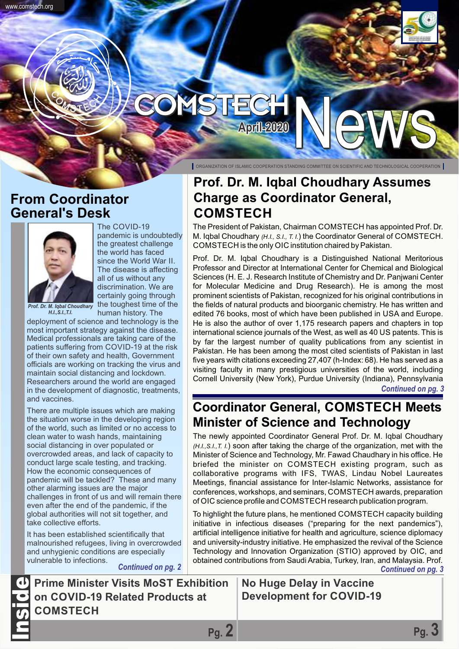# **April-2020**

## **From Coordinator General's Desk**



*H.I.,S.I.,T.I.*

www.comstech.org

*Prof. Dr. M. Iqbal Choudhary* the toughest time of the The COVID-19 pandemic is undoubtedly the greatest challenge the world has faced since the World War II. The disease is affecting all of us without any discrimination. We are certainly going through human history. The

deployment of science and technology is the most important strategy against the disease. Medical professionals are taking care of the patients suffering from COVID-19 at the risk of their own safety and health, Government officials are working on tracking the virus and maintain social distancing and lockdown. Researchers around the world are engaged in the development of diagnostic, treatments, and vaccines.

There are multiple issues which are making the situation worse in the developing region of the world, such as limited or no access to clean water to wash hands, maintaining social distancing in over populated or overcrowded areas, and lack of capacity to conduct large scale testing, and tracking. How the economic consequences of pandemic will be tackled? These and many other alarming issues are the major challenges in front of us and will remain there even after the end of the pandemic, if the global authorities will not sit together, and take collective efforts.

It has been established scientifically that malnourished refugees, living in overcrowded and unhygienic conditions are especially vulnerable to infections.

ORGANIZATION OF ISLAMIC COOPERATION STANDING COMMITTEE ON SCIENTIFIC AND TECHNOLOGICAL COOPERATION

# **Prof. Dr. M. Iqbal Choudhary Assumes Charge as Coordinator General, COMSTECH**

The President of Pakistan, Chairman COMSTECH has appointed Prof. Dr. M. Iqbal Choudhary *(H.I., S.I., T. I.*) the Coordinator General of COMSTECH. COMSTECH is the only OIC institution chaired by Pakistan.

Prof. Dr. M. Iqbal Choudhary is a Distinguished National Meritorious Professor and Director at International Center for Chemical and Biological Sciences (H. E. J. Research Institute of Chemistry and Dr. Panjwani Center for Molecular Medicine and Drug Research). He is among the most prominent scientists of Pakistan, recognized for his original contributions in the fields of natural products and bioorganic chemistry. He has written and edited 76 books, most of which have been published in USA and Europe. He is also the author of over 1,175 research papers and chapters in top international science journals of the West, as well as 40 US patents. This is by far the largest number of quality publications from any scientist in Pakistan. He has been among the most cited scientists of Pakistan in last five years with citations exceeding 27,407 (h-Index: 68). He has served as a visiting faculty in many prestigious universities of the world, including Cornell University (New York), Purdue University (Indiana), Pennsylvania *Continued on pg. 3*

## **Coordinator General, COMSTECH Meets Minister of Science and Technology**

The newly appointed Coordinator General Prof. Dr. M. Iqbal Choudhary *(H.I.,S.I.,T. I.*) soon after taking the charge of the organization, met with the Minister of Science and Technology, Mr. Fawad Chaudhary in his office. He briefed the minister on COMSTECH existing program, such as collaborative programs with IFS, TWAS, Lindau Nobel Laureates Meetings, financial assistance for Inter-Islamic Networks, assistance for conferences, workshops, and seminars, COMSTECH awards, preparation of OIC science profile and COMSTECH research publication program.

To highlight the future plans, he mentioned COMSTECH capacity building initiative in infectious diseases ("preparing for the next pandemics"), artificial intelligence initiative for health and agriculture, science diplomacy and university-industry initiative. He emphasized the revival of the Science Technology and Innovation Organization (STIO) approved by OIC, and obtained contributions from Saudi Arabia, Turkey, Iran, and Malaysia. Prof. *Continued on pg. 2 Continued on pg. 3*

**Pg. 2 Pg. 3**

**Prime Minister Visits MoST Exhibition on COVID-19 Related Products at COMSTECH** Inside

## **No Huge Delay in Vaccine Development for COVID-19**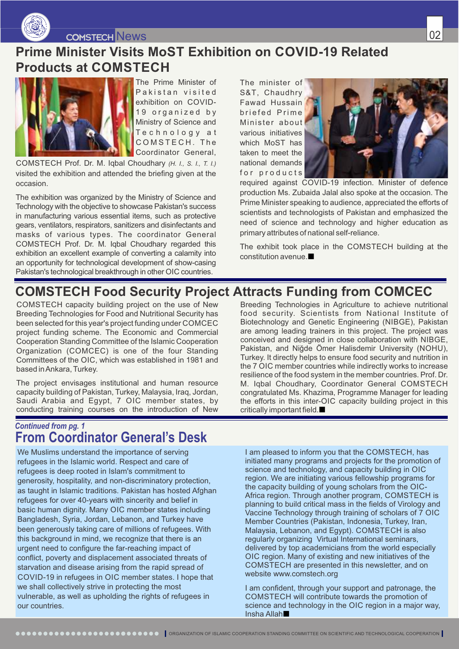

COMSTECH News

# **Prime Minister Visits MoST Exhibition on COVID-19 Related Products at COMSTECH**



The Prime Minister of Pakistan visited exhibition on COVID-19 organized by Ministry of Science and Technology at COMSTECH. The Coordinator General,

COMSTECH Prof. Dr. M. Iqbal Choudhary *(H. I., S. I., T. I.)* visited the exhibition and attended the briefing given at the occasion.

The exhibition was organized by the Ministry of Science and Technology with the objective to showcase Pakistan's success in manufacturing various essential items, such as protective gears, ventilators, respirators, sanitizers and disinfectants and masks of various types. The coordinator General COMSTECH Prof. Dr. M. Iqbal Choudhary regarded this exhibition an excellent example of converting a calamity into an opportunity for technological development of show-casing Pakistan's technological breakthrough in other OIC countries.

The minister of S&T, Chaudhry Fawad Hussain br iefed Pr i m e Minister about various initiatives which MoST has taken to meet the national demands for products



required against COVID-19 infection. Minister of defence production Ms. Zubaida Jalal also spoke at the occasion. The Prime Minister speaking to audience, appreciated the efforts of scientists and technologists of Pakistan and emphasized the need of science and technology and higher education as primary attributes of national self-reliance.

The exhibit took place in the COMSTECH building at the constitution avenue.

# **COMSTECH Food Security Project Attracts Funding from COMCEC**

COMSTECH capacity building project on the use of New Breeding Technologies for Food and Nutritional Security has been selected for this year's project funding under COMCEC project funding scheme. The Economic and Commercial Cooperation Standing Committee of the Islamic Cooperation Organization (COMCEC) is one of the four Standing Committees of the OIC, which was established in 1981 and based in Ankara, Turkey.

The project envisages institutional and human resource capacity building of Pakistan, Turkey, Malaysia, Iraq, Jordan, Saudi Arabia and Egypt, 7 OIC member states, by conducting training courses on the introduction of New

## *Continued from pg. 1* **From Coordinator General's Desk**

We Muslims understand the importance of serving refugees in the Islamic world. Respect and care of refugees is deep rooted in Islam's commitment to generosity, hospitality, and non-discriminatory protection, as taught in Islamic traditions. Pakistan has hosted Afghan refugees for over 40-years with sincerity and belief in basic human dignity. Many OIC member states including Bangladesh, Syria, Jordan, Lebanon, and Turkey have been generously taking care of millions of refugees. With this background in mind, we recognize that there is an urgent need to configure the far-reaching impact of conflict, poverty and displacement associated threats of starvation and disease arising from the rapid spread of COVID-19 in refugees in OIC member states. I hope that we shall collectively strive in protecting the most vulnerable, as well as upholding the rights of refugees in our countries.

Breeding Technologies in Agriculture to achieve nutritional food security. Scientists from National Institute of Biotechnology and Genetic Engineering (NIBGE), Pakistan are among leading trainers in this project. The project was conceived and designed in close collaboration with NIBGE, Pakistan, and Niğde Ömer Halisdemir University (NOHU), Turkey. It directly helps to ensure food security and nutrition in the 7 OIC member countries while indirectly works to increase resilience of the food system in the member countries. Prof. Dr. M. Iqbal Choudhary, Coordinator General COMSTECH congratulated Ms. Khazima, Programme Manager for leading the efforts in this inter-OIC capacity building project in this critically important field.

I am pleased to inform you that the COMSTECH, has initiated many programs and projects for the promotion of science and technology, and capacity building in OIC region. We are initiating various fellowship programs for the capacity building of young scholars from the OIC-Africa region. Through another program, COMSTECH is planning to build critical mass in the fields of Virology and Vaccine Technology through training of scholars of 7 OIC Member Countries (Pakistan, Indonesia, Turkey, Iran, Malaysia, Lebanon, and Egypt). COMSTECH is also regularly organizing Virtual International seminars, delivered by top academicians from the world especially OIC region. Many of existing and new initiatives of the COMSTECH are presented in this newsletter, and on website www.comstech.org

I am confident, through your support and patronage, the COMSTECH will contribute towards the promotion of science and technology in the OIC region in a major way, Insha Allah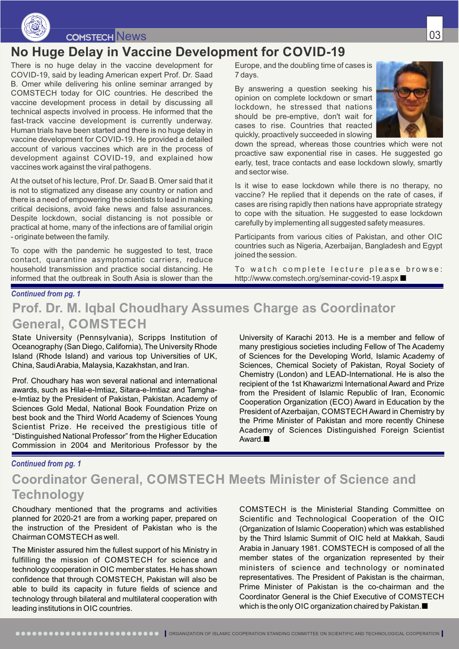

## News 2008 and 2009 and 2009 and 2009 and 2009 and 2009 and 2009 and 2009 and 2009 and 2009 and 2009 and 2009 a

## **No Huge Delay in Vaccine Development for COVID-19**

There is no huge delay in the vaccine development for COVID-19, said by leading American expert Prof. Dr. Saad B. Omer while delivering his online seminar arranged by COMSTECH today for OIC countries. He described the vaccine development process in detail by discussing all technical aspects involved in process. He informed that the fast-track vaccine development is currently underway. Human trials have been started and there is no huge delay in vaccine development for COVID-19. He provided a detailed account of various vaccines which are in the process of development against COVID-19, and explained how vaccines work against the viral pathogens.

At the outset of his lecture, Prof. Dr. Saad B. Omer said that it is not to stigmatized any disease any country or nation and there is a need of empowering the scientists to lead in making critical decisions, avoid fake news and false assurances. Despite lockdown, social distancing is not possible or practical at home, many of the infections are of familial origin - originate between the family.

To cope with the pandemic he suggested to test, trace contact, quarantine asymptomatic carriers, reduce household transmission and practice social distancing. He informed that the outbreak in South Asia is slower than the

Europe, and the doubling time of cases is 7 days.

By answering a question seeking his opinion on complete lockdown or smart lockdown, he stressed that nations should be pre-emptive, don't wait for cases to rise. Countries that reacted quickly, proactively succeeded in slowing



down the spread, whereas those countries which were not proactive saw exponential rise in cases. He suggested go early, test, trace contacts and ease lockdown slowly, smartly and sector wise.

Is it wise to ease lockdown while there is no therapy, no vaccine? He replied that it depends on the rate of cases, if cases are rising rapidly then nations have appropriate strategy to cope with the situation. He suggested to ease lockdown carefully by implementing all suggested safety measures.

Participants from various cities of Pakistan, and other OIC countries such as Nigeria, Azerbaijan, Bangladesh and Egypt joined the session.

To watch complete lecture please browse: http://www.comstech.org/seminar-covid-19.aspx

#### *Continued from pg. 1*

## **Prof. Dr. M. Iqbal Choudhary Assumes Charge as Coordinator General, COMSTECH**

State University (Pennsylvania), Scripps Institution of Oceanography (San Diego, California), The University Rhode Island (Rhode Island) and various top Universities of UK, China, Saudi Arabia, Malaysia, Kazakhstan, and Iran.

Prof. Choudhary has won several national and international awards, such as Hilal-e-Imtiaz, Sitara-e-Imtiaz and Tamghae-Imtiaz by the President of Pakistan, Pakistan. Academy of Sciences Gold Medal, National Book Foundation Prize on best book and the Third World Academy of Sciences Young Scientist Prize. He received the prestigious title of "Distinguished National Professor" from the Higher Education Commission in 2004 and Meritorious Professor by the

University of Karachi 2013. He is a member and fellow of many prestigious societies including Fellow of The Academy of Sciences for the Developing World, Islamic Academy of Sciences, Chemical Society of Pakistan, Royal Society of Chemistry (London) and LEAD-International. He is also the recipient of the 1st Khawarizmi International Award and Prize from the President of Islamic Republic of Iran, Economic Cooperation Organization (ECO) Award in Education by the President of Azerbaijan, COMSTECH Award in Chemistry by the Prime Minister of Pakistan and more recently Chinese Academy of Sciences Distinguished Foreign Scientist Award.<sup>1</sup>

#### *Continued from pg. 1*

## **Coordinator General, COMSTECH Meets Minister of Science and Technology**

Choudhary mentioned that the programs and activities planned for 2020-21 are from a working paper, prepared on the instruction of the President of Pakistan who is the Chairman COMSTECH as well.

The Minister assured him the fullest support of his Ministry in fulfilling the mission of COMSTECH for science and technology cooperation in OIC member states. He has shown confidence that through COMSTECH, Pakistan will also be able to build its capacity in future fields of science and technology through bilateral and multilateral cooperation with leading institutions in OIC countries.

COMSTECH is the Ministerial Standing Committee on Scientific and Technological Cooperation of the OIC (Organization of Islamic Cooperation) which was established by the Third Islamic Summit of OIC held at Makkah, Saudi Arabia in January 1981. COMSTECH is composed of all the member states of the organization represented by their ministers of science and technology or nominated representatives. The President of Pakistan is the chairman, Prime Minister of Pakistan is the co-chairman and the Coordinator General is the Chief Executive of COMSTECH which is the only OIC organization chaired by Pakistan.